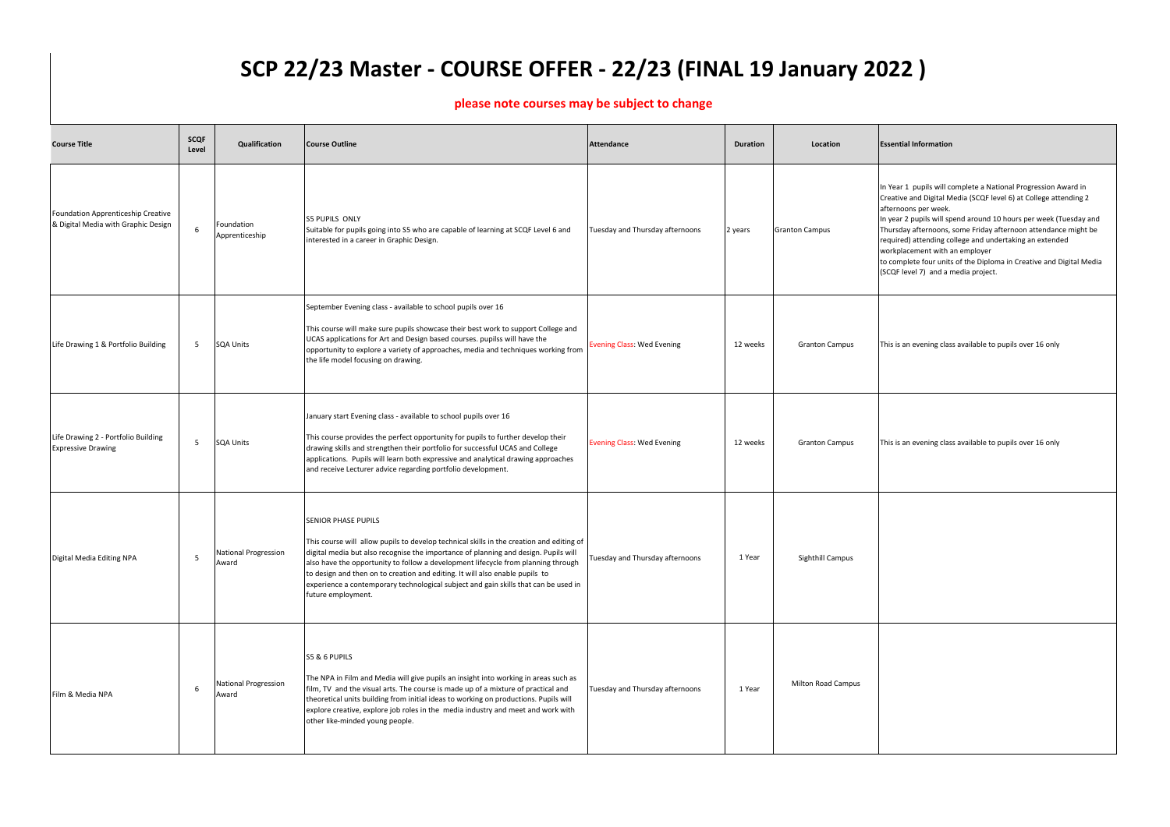In Year 1 pupils will complete a National Progression Award in Creative and Digital Media (SCQF level 6) at College attending 2 afternoons per week.

In year 2 pupils will spend around 10 hours per week (Tuesday and Thursday afternoons, some Friday afternoon attendance might be required) attending college and undertaking an extended workplacement with an employer

to complete four units of the Diploma in Creative and Digital Media (SCQF level 7) and a media project.

This is an evening class available to pupils over 16 only

This is an evening class available to pupils over 16 only

| <b>Course Title</b>                                                       | <b>SCQF</b><br>Level | Qualification                        | <b>Course Outline</b>                                                                                                                                                                                                                                                                                                                                                                                                                                                                           | <b>Attendance</b>                 | <b>Duration</b> | Location                  | <b>Essential Information</b>                                                                                                                                                                                                       |
|---------------------------------------------------------------------------|----------------------|--------------------------------------|-------------------------------------------------------------------------------------------------------------------------------------------------------------------------------------------------------------------------------------------------------------------------------------------------------------------------------------------------------------------------------------------------------------------------------------------------------------------------------------------------|-----------------------------------|-----------------|---------------------------|------------------------------------------------------------------------------------------------------------------------------------------------------------------------------------------------------------------------------------|
| Foundation Apprenticeship Creative<br>& Digital Media with Graphic Design | 6                    | Foundation<br>Apprenticeship         | <b>S5 PUPILS ONLY</b><br>Suitable for pupils going into S5 who are capable of learning at SCQF Level 6 and<br>interested in a career in Graphic Design.                                                                                                                                                                                                                                                                                                                                         | Tuesday and Thursday afternoons   | 2 years         | <b>Granton Campus</b>     | In Year 1 pupils will c<br>Creative and Digital M<br>afternoons per week.<br>In year 2 pupils will sp<br>Thursday afternoons,<br>required) attending co<br>workplacement with a<br>to complete four unit<br>(SCQF level 7) and a r |
| Life Drawing 1 & Portfolio Building                                       | 5                    | <b>SQA Units</b>                     | September Evening class - available to school pupils over 16<br>This course will make sure pupils showcase their best work to support College and<br>UCAS applications for Art and Design based courses. pupilss will have the<br>opportunity to explore a variety of approaches, media and techniques working from<br>the life model focusing on drawing.                                                                                                                                      | <b>Evening Class: Wed Evening</b> | 12 weeks        | <b>Granton Campus</b>     | This is an evening clas                                                                                                                                                                                                            |
| Life Drawing 2 - Portfolio Building<br><b>Expressive Drawing</b>          | 5                    | <b>SQA Units</b>                     | January start Evening class - available to school pupils over 16<br>This course provides the perfect opportunity for pupils to further develop their<br>drawing skills and strengthen their portfolio for successful UCAS and College<br>applications. Pupils will learn both expressive and analytical drawing approaches<br>and receive Lecturer advice regarding portfolio development.                                                                                                      | <b>Evening Class: Wed Evening</b> | 12 weeks        | <b>Granton Campus</b>     | This is an evening clas                                                                                                                                                                                                            |
| Digital Media Editing NPA                                                 | 5                    | <b>National Progression</b><br>Award | <b>SENIOR PHASE PUPILS</b><br>This course will allow pupils to develop technical skills in the creation and editing of<br>digital media but also recognise the importance of planning and design. Pupils will<br>also have the opportunity to follow a development lifecycle from planning through<br>to design and then on to creation and editing. It will also enable pupils to<br>experience a contemporary technological subject and gain skills that can be used in<br>future employment. | Tuesday and Thursday afternoons   | 1 Year          | Sighthill Campus          |                                                                                                                                                                                                                                    |
| Film & Media NPA                                                          | 6                    | <b>National Progression</b><br>Award | S5 & 6 PUPILS<br>The NPA in Film and Media will give pupils an insight into working in areas such as<br>film, TV and the visual arts. The course is made up of a mixture of practical and<br>theoretical units building from initial ideas to working on productions. Pupils will<br>explore creative, explore job roles in the media industry and meet and work with<br>other like-minded young people.                                                                                        | Tuesday and Thursday afternoons   | 1 Year          | <b>Milton Road Campus</b> |                                                                                                                                                                                                                                    |

## **SCP 22/23 Master - COURSE OFFER - 22/23 (FINAL 19 January 2022 )**

## **please note courses may be subject to change**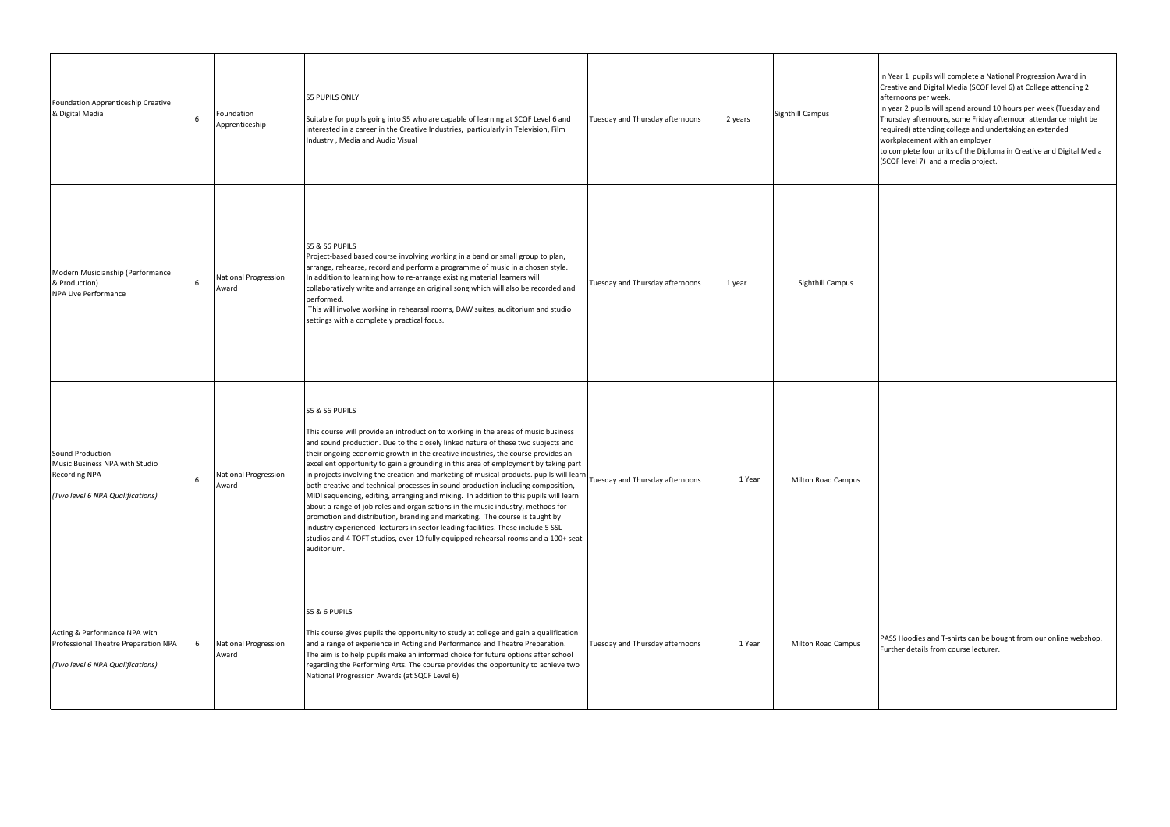- In Year 1 pupils will complete a National Progression Award in Creative and Digital Media (SCQF level 6) at College attending 2 afternoons per week.
- In year 2 pupils will spend around 10 hours per week (Tuesday and Thursday afternoons, some Friday afternoon attendance might be required) attending college and undertaking an extended
- workplacement with an employer
- to complete four units of the Diploma in Creative and Digital Media (SCQF level 7) and a media project.

| Foundation Apprenticeship Creative<br>& Digital Media                                                          | 6 | Foundation<br>Apprenticeship  | <b>S5 PUPILS ONLY</b><br>Suitable for pupils going into S5 who are capable of learning at SCQF Level 6 and<br>interested in a career in the Creative Industries, particularly in Television, Film<br>Industry, Media and Audio Visual                                                                                                                                                                                                                                                                                                                                                                                                                                                                                                                                                                                                                                                                                                                                                                  | Tuesday and Thursday afternoons | 2 years | Sighthill Campus          |
|----------------------------------------------------------------------------------------------------------------|---|-------------------------------|--------------------------------------------------------------------------------------------------------------------------------------------------------------------------------------------------------------------------------------------------------------------------------------------------------------------------------------------------------------------------------------------------------------------------------------------------------------------------------------------------------------------------------------------------------------------------------------------------------------------------------------------------------------------------------------------------------------------------------------------------------------------------------------------------------------------------------------------------------------------------------------------------------------------------------------------------------------------------------------------------------|---------------------------------|---------|---------------------------|
| Modern Musicianship (Performance<br>& Production)<br><b>NPA Live Performance</b>                               | 6 | National Progression<br>Award | <b>S5 &amp; S6 PUPILS</b><br>Project-based based course involving working in a band or small group to plan,<br>arrange, rehearse, record and perform a programme of music in a chosen style.<br>In addition to learning how to re-arrange existing material learners will<br>collaboratively write and arrange an original song which will also be recorded and<br>performed.<br>This will involve working in rehearsal rooms, DAW suites, auditorium and studio<br>settings with a completely practical focus.                                                                                                                                                                                                                                                                                                                                                                                                                                                                                        | Tuesday and Thursday afternoons | 1 year  | Sighthill Campus          |
| Sound Production<br>Music Business NPA with Studio<br><b>Recording NPA</b><br>(Two level 6 NPA Qualifications) | 6 | National Progression<br>Award | S5 & S6 PUPILS<br>This course will provide an introduction to working in the areas of music business<br>and sound production. Due to the closely linked nature of these two subjects and<br>their ongoing economic growth in the creative industries, the course provides an<br>excellent opportunity to gain a grounding in this area of employment by taking part<br>in projects involving the creation and marketing of musical products. pupils will learn<br>both creative and technical processes in sound production including composition,<br>MIDI sequencing, editing, arranging and mixing. In addition to this pupils will learn<br>about a range of job roles and organisations in the music industry, methods for<br>promotion and distribution, branding and marketing. The course is taught by<br>industry experienced lecturers in sector leading facilities. These include 5 SSL<br>studios and 4 TOFT studios, over 10 fully equipped rehearsal rooms and a 100+ seat<br>auditorium. | Tuesday and Thursday afternoons | 1 Year  | <b>Milton Road Campus</b> |
| Acting & Performance NPA with<br>Professional Theatre Preparation NPA<br>(Two level 6 NPA Qualifications)      | 6 | National Progression<br>Award | S5 & 6 PUPILS<br>This course gives pupils the opportunity to study at college and gain a qualification<br>and a range of experience in Acting and Performance and Theatre Preparation.<br>The aim is to help pupils make an informed choice for future options after school<br>regarding the Performing Arts. The course provides the opportunity to achieve two<br>National Progression Awards (at SQCF Level 6)                                                                                                                                                                                                                                                                                                                                                                                                                                                                                                                                                                                      | Tuesday and Thursday afternoons | 1 Year  | <b>Milton Road Campus</b> |

PASS Hoodies and T-shirts can be bought from our online webshop. Further details from course lecturer.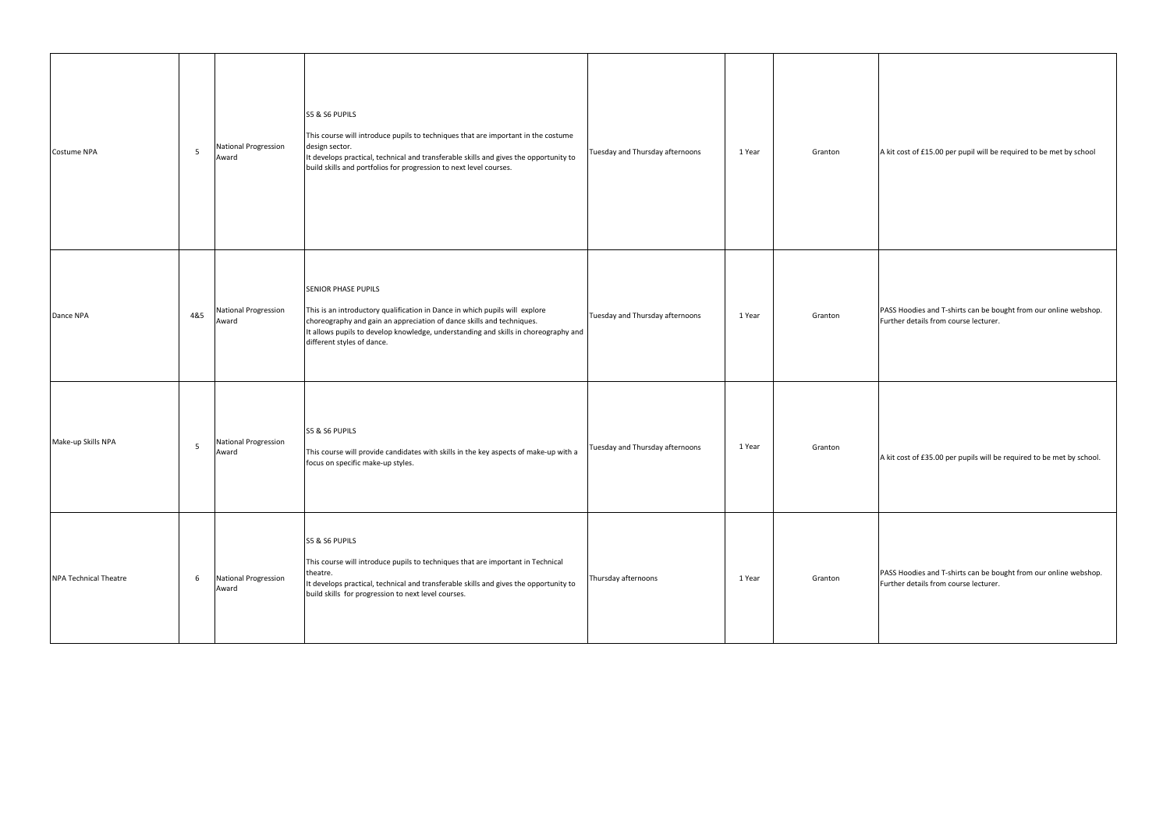| Costume NPA                  | $\overline{5}$ | <b>National Progression</b><br>Award | S5 & S6 PUPILS<br>This course will introduce pupils to techniques that are important in the costume<br>design sector.<br>It develops practical, technical and transferable skills and gives the opportunity to<br>build skills and portfolios for progression to next level courses.                    | Tuesday and Thursday afternoons | 1 Year | Granton |
|------------------------------|----------------|--------------------------------------|---------------------------------------------------------------------------------------------------------------------------------------------------------------------------------------------------------------------------------------------------------------------------------------------------------|---------------------------------|--------|---------|
| Dance NPA                    | 4&5            | <b>National Progression</b><br>Award | <b>SENIOR PHASE PUPILS</b><br>This is an introductory qualification in Dance in which pupils will explore<br>choreography and gain an appreciation of dance skills and techniques.<br>It allows pupils to develop knowledge, understanding and skills in choreography and<br>different styles of dance. | Tuesday and Thursday afternoons | 1 Year | Granton |
| Make-up Skills NPA           | 5              | <b>National Progression</b><br>Award | S5 & S6 PUPILS<br>This course will provide candidates with skills in the key aspects of make-up with a<br>focus on specific make-up styles.                                                                                                                                                             | Tuesday and Thursday afternoons | 1 Year | Granton |
| <b>NPA Technical Theatre</b> | 6              | National Progression<br>Award        | S5 & S6 PUPILS<br>This course will introduce pupils to techniques that are important in Technical<br>theatre.<br>It develops practical, technical and transferable skills and gives the opportunity to<br>build skills for progression to next level courses.                                           | Thursday afternoons             | 1 Year | Granton |

A kit cost of £15.00 per pupil will be required to be met by school

PASS Hoodies and T-shirts can be bought from our online webshop. Further details from course lecturer.

A kit cost of £35.00 per pupils will be required to be met by school.

PASS Hoodies and T-shirts can be bought from our online webshop. Further details from course lecturer.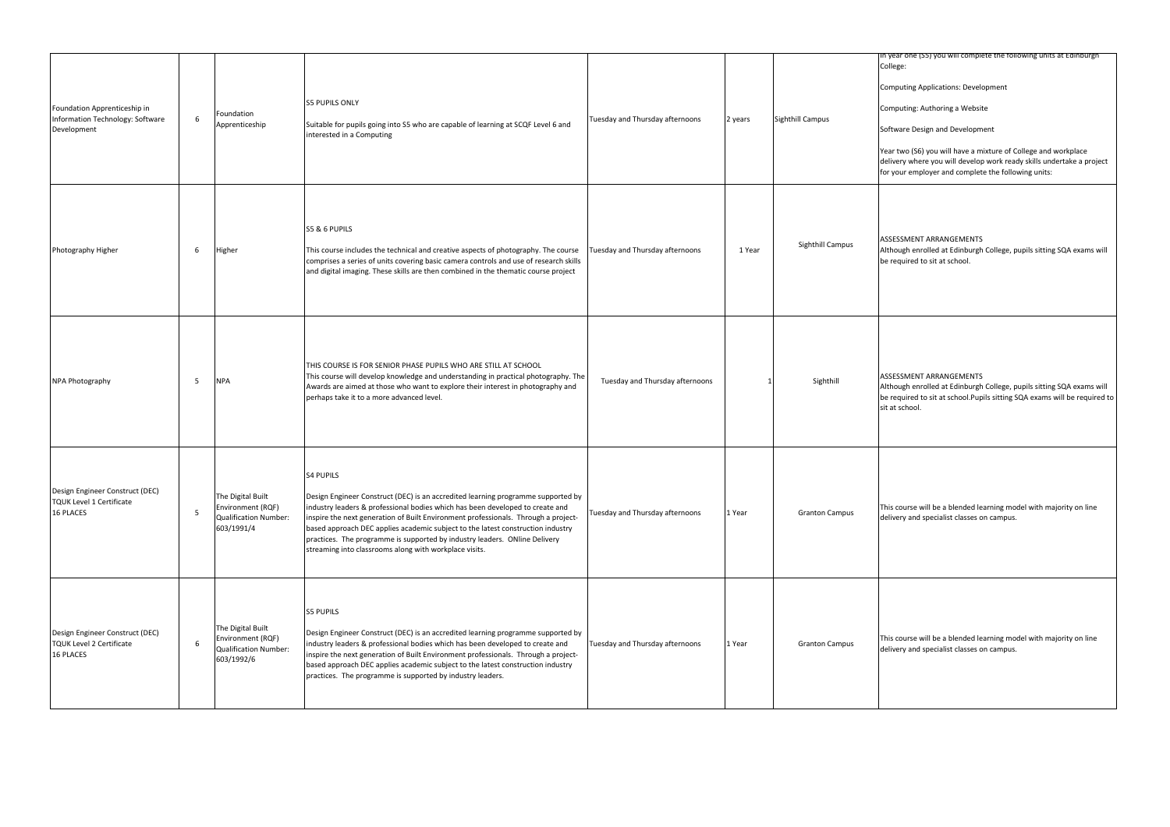In year one (S5) you will complete the following units at Edinburgh College:

Computing Applications: Development

Computing: Authoring a Website

Software Design and Development

Year two (S6) you will have a mixture of College and workplace delivery where you will develop work ready skills undertake a project for your employer and complete the following units:

ASSESSMENT ARRANGEMENTS Although enrolled at Edinburgh College, pupils sitting SQA exams will be required to sit at school.

ASSESSMENT ARRANGEMENTS

| Foundation Apprenticeship in<br>Information Technology: Software<br>Development | 6 | Foundation<br>Apprenticeship                                                  | <b>S5 PUPILS ONLY</b><br>Suitable for pupils going into S5 who are capable of learning at SCQF Level 6 and<br>interested in a Computing                                                                                                                                                                                                                                                                                                                                                                | Tuesday and Thursday afternoons | 2 years | Sighthill Campus      |
|---------------------------------------------------------------------------------|---|-------------------------------------------------------------------------------|--------------------------------------------------------------------------------------------------------------------------------------------------------------------------------------------------------------------------------------------------------------------------------------------------------------------------------------------------------------------------------------------------------------------------------------------------------------------------------------------------------|---------------------------------|---------|-----------------------|
| Photography Higher                                                              | 6 | Higher                                                                        | S5 & 6 PUPILS<br>This course includes the technical and creative aspects of photography. The course<br>comprises a series of units covering basic camera controls and use of research skills<br>and digital imaging. These skills are then combined in the thematic course project                                                                                                                                                                                                                     | Tuesday and Thursday afternoons | 1 Year  | Sighthill Campus      |
| NPA Photography                                                                 | 5 | <b>NPA</b>                                                                    | THIS COURSE IS FOR SENIOR PHASE PUPILS WHO ARE STILL AT SCHOOL<br>This course will develop knowledge and understanding in practical photography. The<br>Awards are aimed at those who want to explore their interest in photography and<br>perhaps take it to a more advanced level.                                                                                                                                                                                                                   | Tuesday and Thursday afternoons |         | Sighthill             |
| Design Engineer Construct (DEC)<br><b>TQUK Level 1 Certificate</b><br>16 PLACES | 5 | The Digital Built<br>Environment (RQF)<br>Qualification Number:<br>603/1991/4 | <b>S4 PUPILS</b><br>Design Engineer Construct (DEC) is an accredited learning programme supported by<br>industry leaders & professional bodies which has been developed to create and<br>inspire the next generation of Built Environment professionals. Through a project-<br>based approach DEC applies academic subject to the latest construction industry<br>practices. The programme is supported by industry leaders. ONline Delivery<br>streaming into classrooms along with workplace visits. | Tuesday and Thursday afternoons | 1 Year  | <b>Granton Campus</b> |
| Design Engineer Construct (DEC)<br><b>TQUK Level 2 Certificate</b><br>16 PLACES | 6 | The Digital Built<br>Environment (RQF)<br>Qualification Number:<br>603/1992/6 | <b>S5 PUPILS</b><br>Design Engineer Construct (DEC) is an accredited learning programme supported by<br>industry leaders & professional bodies which has been developed to create and<br>inspire the next generation of Built Environment professionals. Through a project-<br>based approach DEC applies academic subject to the latest construction industry<br>practices. The programme is supported by industry leaders.                                                                           | Tuesday and Thursday afternoons | 1 Year  | <b>Granton Campus</b> |

Although enrolled at Edinburgh College, pupils sitting SQA exams will be required to sit at school.Pupils sitting SQA exams will be required to sit at school.

This course will be a blended learning model with majority on line delivery and specialist classes on campus.

This course will be a blended learning model with majority on line delivery and specialist classes on campus.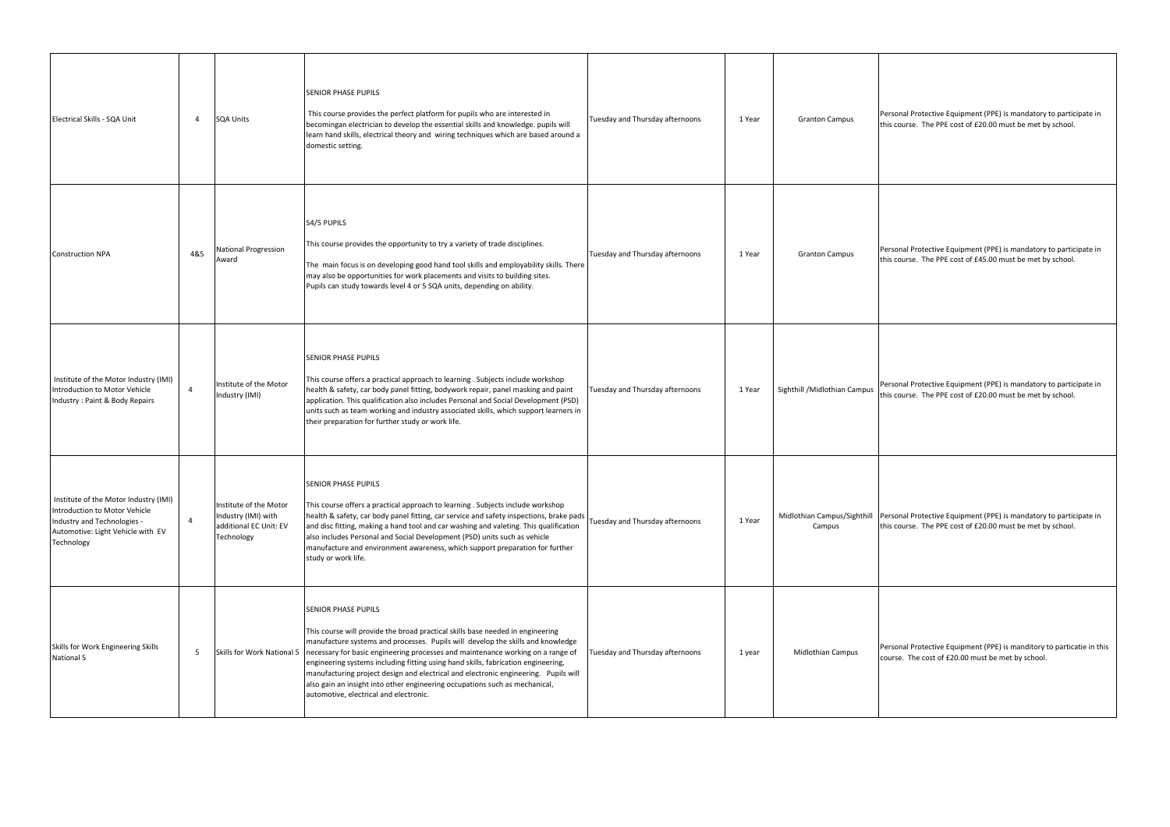| Electrical Skills - SQA Unit                                                                                                                             | 4              | <b>SQA Units</b>                                                                      | <b>SENIOR PHASE PUPILS</b><br>This course provides the perfect platform for pupils who are interested in<br>becomingan electrician to develop the essential skills and knowledge. pupils will<br>learn hand skills, electrical theory and wiring techniques which are based around a<br>domestic setting.                                                                                                                                                                                                                                                                               | Tuesday and Thursday afternoons | 1 Year | <b>Granton Campus</b>                 |
|----------------------------------------------------------------------------------------------------------------------------------------------------------|----------------|---------------------------------------------------------------------------------------|-----------------------------------------------------------------------------------------------------------------------------------------------------------------------------------------------------------------------------------------------------------------------------------------------------------------------------------------------------------------------------------------------------------------------------------------------------------------------------------------------------------------------------------------------------------------------------------------|---------------------------------|--------|---------------------------------------|
| <b>Construction NPA</b>                                                                                                                                  | 4&5            | <b>National Progression</b><br>Award                                                  | S4/5 PUPILS<br>This course provides the opportunity to try a variety of trade disciplines.<br>The main focus is on developing good hand tool skills and employability skills. There<br>may also be opportunities for work placements and visits to building sites.<br>Pupils can study towards level 4 or 5 SQA units, depending on ability.                                                                                                                                                                                                                                            | Tuesday and Thursday afternoons | 1 Year | <b>Granton Campus</b>                 |
| Institute of the Motor Industry (IMI)<br>Introduction to Motor Vehicle<br>Industry: Paint & Body Repairs                                                 | $\overline{4}$ | Institute of the Motor<br>Industry (IMI)                                              | <b>SENIOR PHASE PUPILS</b><br>This course offers a practical approach to learning . Subjects include workshop<br>health & safety, car body panel fitting, bodywork repair, panel masking and paint<br>application. This qualification also includes Personal and Social Development (PSD)<br>units such as team working and industry associated skills, which support learners in<br>their preparation for further study or work life.                                                                                                                                                  | Tuesday and Thursday afternoons | 1 Year | Sighthill / Midlothian Campus         |
| Institute of the Motor Industry (IMI)<br>Introduction to Motor Vehicle<br>Industry and Technologies -<br>Automotive: Light Vehicle with EV<br>Technology | $\overline{4}$ | Institute of the Motor<br>Industry (IMI) with<br>additional EC Unit: EV<br>Technology | <b>SENIOR PHASE PUPILS</b><br>This course offers a practical approach to learning. Subjects include workshop<br>health & safety, car body panel fitting, car service and safety inspections, brake pads<br>and disc fitting, making a hand tool and car washing and valeting. This qualification<br>also includes Personal and Social Development (PSD) units such as vehicle<br>manufacture and environment awareness, which support preparation for further<br>study or work life.                                                                                                    | Tuesday and Thursday afternoons | 1 Year | Midlothian Campus/Sighthill<br>Campus |
| Skills for Work Engineering Skills<br>National 5                                                                                                         | 5              | Skills for Work National 5                                                            | <b>SENIOR PHASE PUPILS</b><br>This course will provide the broad practical skills base needed in engineering<br>manufacture systems and processes. Pupils will develop the skills and knowledge<br>necessary for basic engineering processes and maintenance working on a range of<br>engineering systems including fitting using hand skills, fabrication engineering,<br>manufacturing project design and electrical and electronic engineering. Pupils will<br>also gain an insight into other engineering occupations such as mechanical,<br>automotive, electrical and electronic. | Tuesday and Thursday afternoons | 1 year | <b>Midlothian Campus</b>              |

Personal Protective Equipment (PPE) is mandatory to participate in this course. The PPE cost of £20.00 must be met by school. Personal Protective Equipment (PPE) is mandatory to participate in this course. The PPE cost of £45.00 must be met by school. Personal Protective Equipment (PPE) is mandatory to participate in this course. The PPE cost of £20.00 must be met by school. Personal Protective Equipment (PPE) is mandatory to participate in this course. The PPE cost of £20.00 must be met by school. Personal Protective Equipment (PPE) is manditory to particatie in this course. The cost of £20.00 must be met by school.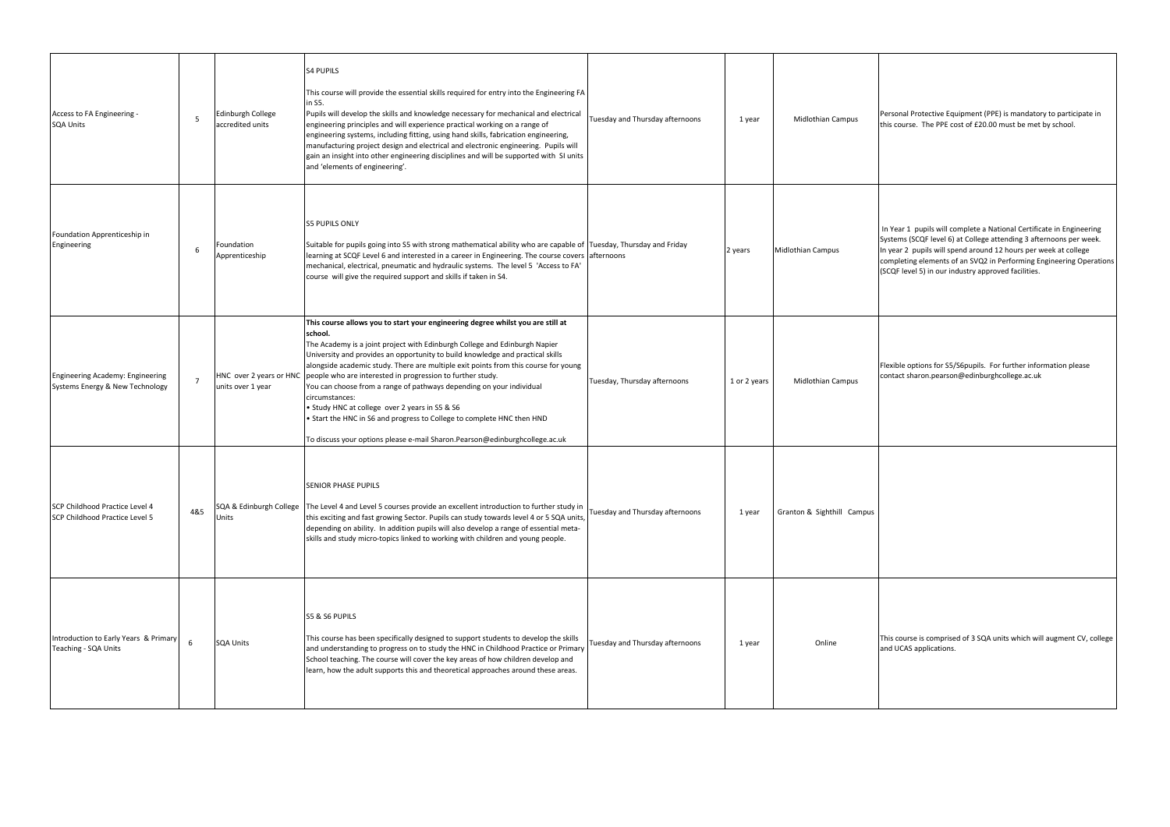Personal Protective Equipment (PPE) is mandatory to participate in this course. The PPE cost of £20.00 must be met by school.

 In Year 1 pupils will complete a National Certificate in Engineering Systems (SCQF level 6) at College attending 3 afternoons per week. In year 2 pupils will spend around 12 hours per week at college completing elements of an SVQ2 in Performing Engineering Operations (SCQF level 5) in our industry approved facilities.

| Access to FA Engineering -<br><b>SQA Units</b>                             | 5              | Edinburgh College<br>accredited units        | <b>S4 PUPILS</b><br>This course will provide the essential skills required for entry into the Engineering FA<br>in S5.<br>Pupils will develop the skills and knowledge necessary for mechanical and electrical<br>engineering principles and will experience practical working on a range of<br>engineering systems, including fitting, using hand skills, fabrication engineering,<br>manufacturing project design and electrical and electronic engineering. Pupils will<br>gain an insight into other engineering disciplines and will be supported with SI units<br>and 'elements of engineering'.                                                                                                               | Tuesday and Thursday afternoons | 1 year       | <b>Midlothian Campus</b>   |
|----------------------------------------------------------------------------|----------------|----------------------------------------------|----------------------------------------------------------------------------------------------------------------------------------------------------------------------------------------------------------------------------------------------------------------------------------------------------------------------------------------------------------------------------------------------------------------------------------------------------------------------------------------------------------------------------------------------------------------------------------------------------------------------------------------------------------------------------------------------------------------------|---------------------------------|--------------|----------------------------|
| Foundation Apprenticeship in<br>Engineering                                | 6              | Foundation<br>Apprenticeship                 | <b>S5 PUPILS ONLY</b><br>Suitable for pupils going into S5 with strong mathematical ability who are capable of Tuesday, Thursday and Friday<br>learning at SCQF Level 6 and interested in a career in Engineering. The course covers afternoons<br>mechanical, electrical, pneumatic and hydraulic systems. The level 5 'Access to FA'<br>course will give the required support and skills if taken in S4.                                                                                                                                                                                                                                                                                                           |                                 | 2 years      | <b>Midlothian Campus</b>   |
| <b>Engineering Academy: Engineering</b><br>Systems Energy & New Technology | $\overline{7}$ | HNC over 2 years or HNC<br>units over 1 year | This course allows you to start your engineering degree whilst you are still at<br>school.<br>The Academy is a joint project with Edinburgh College and Edinburgh Napier<br>University and provides an opportunity to build knowledge and practical skills<br>alongside academic study. There are multiple exit points from this course for young<br>people who are interested in progression to further study.<br>You can choose from a range of pathways depending on your individual<br>circumstances:<br>• Study HNC at college over 2 years in S5 & S6<br>• Start the HNC in S6 and progress to College to complete HNC then HND<br>To discuss your options please e-mail Sharon.Pearson@edinburghcollege.ac.uk | Tuesday, Thursday afternoons    | 1 or 2 years | <b>Midlothian Campus</b>   |
| SCP Childhood Practice Level 4<br>SCP Childhood Practice Level 5           | 4&5            | SQA & Edinburgh College<br>Units             | <b>SENIOR PHASE PUPILS</b><br>The Level 4 and Level 5 courses provide an excellent introduction to further study in<br>this exciting and fast growing Sector. Pupils can study towards level 4 or 5 SQA units,<br>depending on ability. In addition pupils will also develop a range of essential meta-<br>skills and study micro-topics linked to working with children and young people.                                                                                                                                                                                                                                                                                                                           | Tuesday and Thursday afternoons | 1 year       | Granton & Sighthill Campus |
| Introduction to Early Years & Primary<br>Teaching - SQA Units              | 6              | <b>SQA Units</b>                             | S5 & S6 PUPILS<br>This course has been specifically designed to support students to develop the skills<br>and understanding to progress on to study the HNC in Childhood Practice or Primary<br>School teaching. The course will cover the key areas of how children develop and<br>learn, how the adult supports this and theoretical approaches around these areas.                                                                                                                                                                                                                                                                                                                                                | Tuesday and Thursday afternoons | 1 year       | Online                     |

This course is comprised of 3 SQA units which will augment CV, college and UCAS applications.

Flexible options for S5/S6pupils. For further information please contact sharon.pearson@edinburghcollege.ac.uk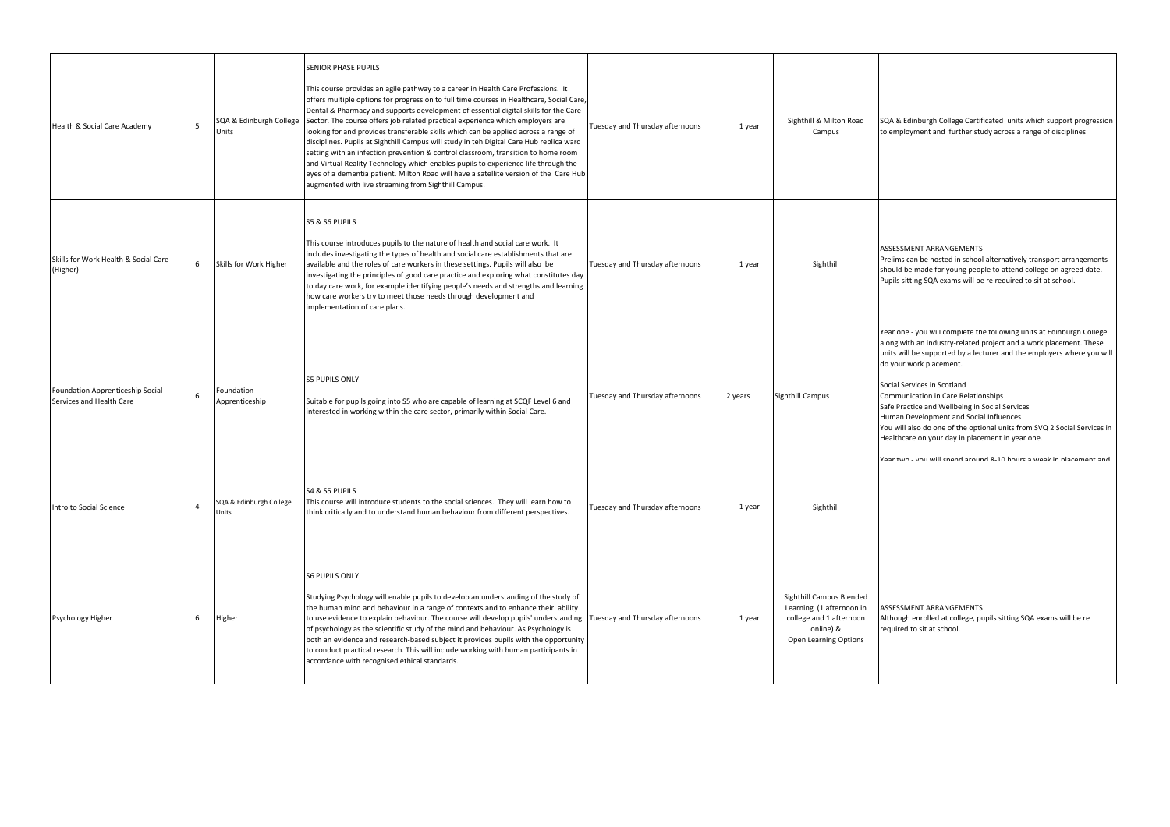

| Health & Social Care Academy                                 | 5              | SQA & Edinburgh College<br>Units | <b>SENIOR PHASE PUPILS</b><br>This course provides an agile pathway to a career in Health Care Professions. It<br>offers multiple options for progression to full time courses in Healthcare, Social Care,<br>Dental & Pharmacy and supports development of essential digital skills for the Care<br>Sector. The course offers job related practical experience which employers are<br>looking for and provides transferable skills which can be applied across a range of<br>disciplines. Pupils at Sighthill Campus will study in teh Digital Care Hub replica ward<br>setting with an infection prevention & control classroom, transition to home room<br>and Virtual Reality Technology which enables pupils to experience life through the<br>eyes of a dementia patient. Milton Road will have a satellite version of the Care Hub<br>augmented with live streaming from Sighthill Campus. | Tuesday and Thursday afternoons | 1 year  | Sighthill & Milton Road<br>Campus                                                                                     |
|--------------------------------------------------------------|----------------|----------------------------------|---------------------------------------------------------------------------------------------------------------------------------------------------------------------------------------------------------------------------------------------------------------------------------------------------------------------------------------------------------------------------------------------------------------------------------------------------------------------------------------------------------------------------------------------------------------------------------------------------------------------------------------------------------------------------------------------------------------------------------------------------------------------------------------------------------------------------------------------------------------------------------------------------|---------------------------------|---------|-----------------------------------------------------------------------------------------------------------------------|
| Skills for Work Health & Social Care<br>(Higher)             | 6              | Skills for Work Higher           | S5 & S6 PUPILS<br>This course introduces pupils to the nature of health and social care work. It<br>includes investigating the types of health and social care establishments that are<br>available and the roles of care workers in these settings. Pupils will also be<br>investigating the principles of good care practice and exploring what constitutes day<br>to day care work, for example identifying people's needs and strengths and learning<br>how care workers try to meet those needs through development and<br>implementation of care plans.                                                                                                                                                                                                                                                                                                                                     | Tuesday and Thursday afternoons | 1 year  | Sighthill                                                                                                             |
| Foundation Apprenticeship Social<br>Services and Health Care | 6              | Foundation<br>Apprenticeship     | <b>S5 PUPILS ONLY</b><br>Suitable for pupils going into S5 who are capable of learning at SCQF Level 6 and<br>interested in working within the care sector, primarily within Social Care.                                                                                                                                                                                                                                                                                                                                                                                                                                                                                                                                                                                                                                                                                                         | Tuesday and Thursday afternoons | 2 years | <b>Sighthill Campus</b>                                                                                               |
| Intro to Social Science                                      | $\overline{4}$ | SQA & Edinburgh College<br>Units | S4 & S5 PUPILS<br>This course will introduce students to the social sciences. They will learn how to<br>think critically and to understand human behaviour from different perspectives.                                                                                                                                                                                                                                                                                                                                                                                                                                                                                                                                                                                                                                                                                                           | Tuesday and Thursday afternoons | 1 year  | Sighthill                                                                                                             |
| Psychology Higher                                            | 6              | Higher                           | <b>S6 PUPILS ONLY</b><br>Studying Psychology will enable pupils to develop an understanding of the study of<br>the human mind and behaviour in a range of contexts and to enhance their ability<br>to use evidence to explain behaviour. The course will develop pupils' understanding<br>of psychology as the scientific study of the mind and behaviour. As Psychology is<br>both an evidence and research-based subject it provides pupils with the opportunity<br>to conduct practical research. This will include working with human participants in<br>accordance with recognised ethical standards.                                                                                                                                                                                                                                                                                        | Tuesday and Thursday afternoons | 1 year  | Sighthill Campus Blended<br>Learning (1 afternoon in<br>college and 1 afternoon<br>online) &<br>Open Learning Options |

## ASSESSMENT ARRANGEMENTS

Although enrolled at college, pupils sitting SQA exams will be re required to sit at school.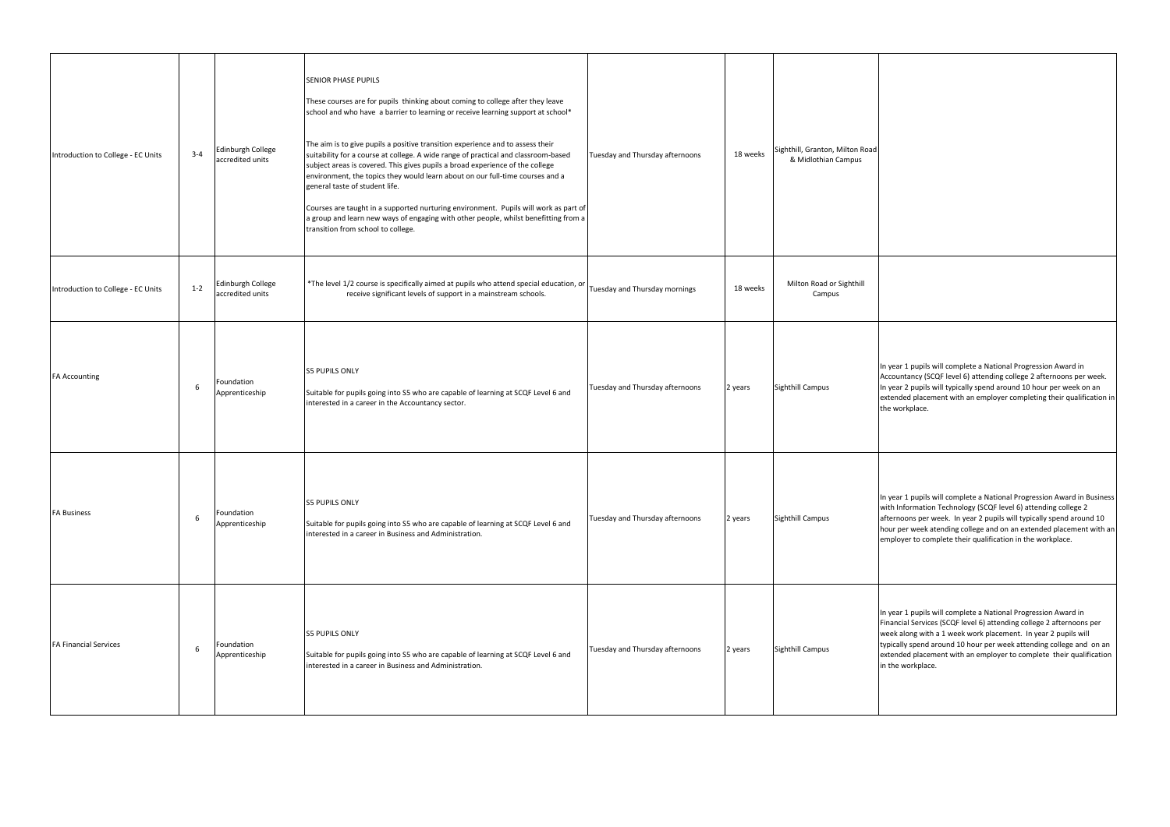In year 1 pupils will complete a National Progression Award in Accountancy (SCQF level 6) attending college 2 afternoons per week. In year 2 pupils will typically spend around 10 hour per week on an extended placement with an employer completing their qualification in the workplace.

In year 1 pupils will complete a National Progression Award in Business with Information Technology (SCQF level 6) attending college 2 afternoons per week. In year 2 pupils will typically spend around 10 hour per week atending college and on an extended placement with an employer to complete their qualification in the workplace.

| Introduction to College - EC Units | $3 - 4$ | Edinburgh College<br>accredited units | <b>SENIOR PHASE PUPILS</b><br>These courses are for pupils thinking about coming to college after they leave<br>school and who have a barrier to learning or receive learning support at school*<br>The aim is to give pupils a positive transition experience and to assess their<br>suitability for a course at college. A wide range of practical and classroom-based<br>subject areas is covered. This gives pupils a broad experience of the college<br>environment, the topics they would learn about on our full-time courses and a<br>general taste of student life.<br>Courses are taught in a supported nurturing environment. Pupils will work as part of<br>a group and learn new ways of engaging with other people, whilst benefitting from a<br>transition from school to college. | Tuesday and Thursday afternoons | 18 weeks | Sighthill, Granton, Milton Road<br>& Midlothian Campus |
|------------------------------------|---------|---------------------------------------|---------------------------------------------------------------------------------------------------------------------------------------------------------------------------------------------------------------------------------------------------------------------------------------------------------------------------------------------------------------------------------------------------------------------------------------------------------------------------------------------------------------------------------------------------------------------------------------------------------------------------------------------------------------------------------------------------------------------------------------------------------------------------------------------------|---------------------------------|----------|--------------------------------------------------------|
| Introduction to College - EC Units | $1 - 2$ | Edinburgh College<br>accredited units | *The level 1/2 course is specifically aimed at pupils who attend special education, or<br>receive significant levels of support in a mainstream schools.                                                                                                                                                                                                                                                                                                                                                                                                                                                                                                                                                                                                                                          | Tuesday and Thursday mornings   | 18 weeks | Milton Road or Sighthill<br>Campus                     |
| <b>FA Accounting</b>               | 6       | Foundation<br>Apprenticeship          | <b>S5 PUPILS ONLY</b><br>Suitable for pupils going into S5 who are capable of learning at SCQF Level 6 and<br>interested in a career in the Accountancy sector.                                                                                                                                                                                                                                                                                                                                                                                                                                                                                                                                                                                                                                   | Tuesday and Thursday afternoons | 2 years  | <b>Sighthill Campus</b>                                |
| <b>FA Business</b>                 | 6       | Foundation<br>Apprenticeship          | <b>S5 PUPILS ONLY</b><br>Suitable for pupils going into S5 who are capable of learning at SCQF Level 6 and<br>interested in a career in Business and Administration.                                                                                                                                                                                                                                                                                                                                                                                                                                                                                                                                                                                                                              | Tuesday and Thursday afternoons | 2 years  | <b>Sighthill Campus</b>                                |
| <b>FA Financial Services</b>       | 6       | Foundation<br>Apprenticeship          | <b>S5 PUPILS ONLY</b><br>Suitable for pupils going into S5 who are capable of learning at SCQF Level 6 and<br>interested in a career in Business and Administration.                                                                                                                                                                                                                                                                                                                                                                                                                                                                                                                                                                                                                              | Tuesday and Thursday afternoons | 2 years  | <b>Sighthill Campus</b>                                |

In year 1 pupils will complete a National Progression Award in Financial Services (SCQF level 6) attending college 2 afternoons per week along with a 1 week work placement. In year 2 pupils will typically spend around 10 hour per week attending college and on an extended placement with an employer to complete their qualification in the workplace.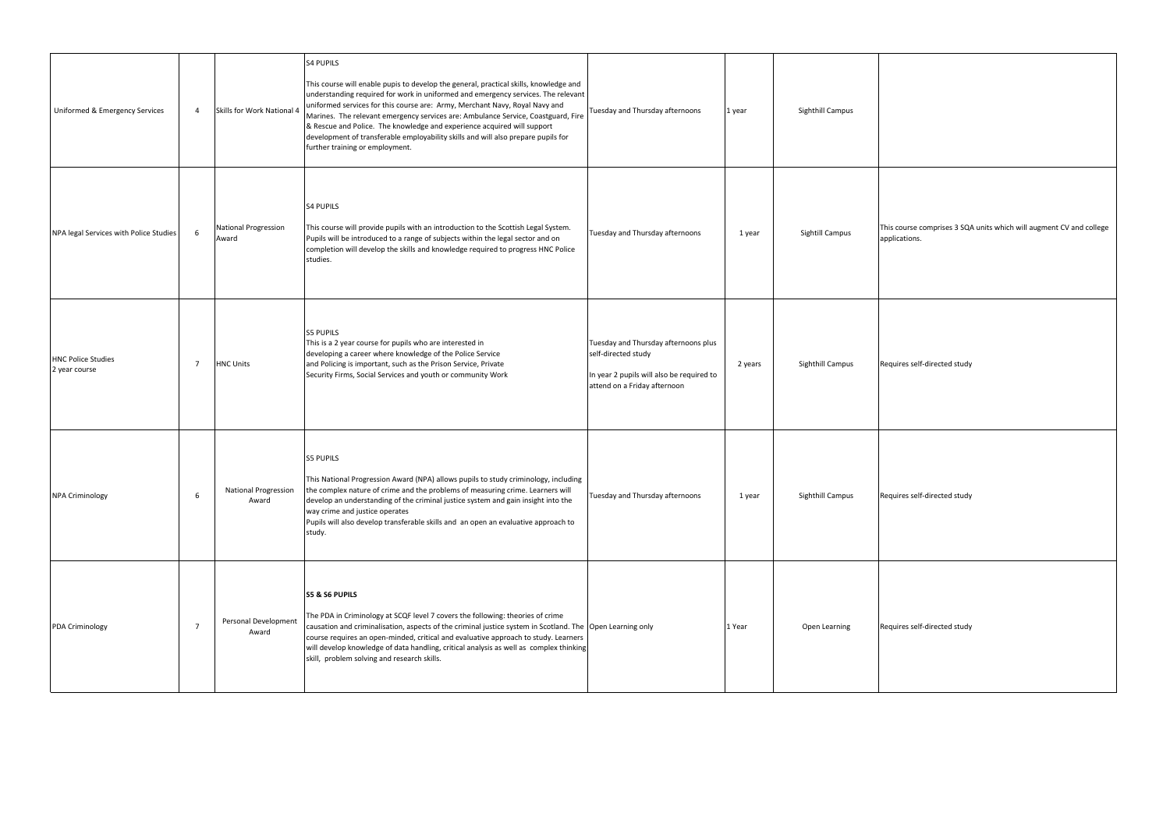| Uniformed & Emergency Services             | $\overline{4}$ | Skills for Work National 4           | <b>S4 PUPILS</b><br>This course will enable pupis to develop the general, practical skills, knowledge and<br>understanding required for work in uniformed and emergency services. The relevant<br>uniformed services for this course are: Army, Merchant Navy, Royal Navy and<br>Marines. The relevant emergency services are: Ambulance Service, Coastguard, Fire<br>& Rescue and Police. The knowledge and experience acquired will support<br>development of transferable employability skills and will also prepare pupils for<br>further training or employment. | Tuesday and Thursday afternoons                                                                                                          | 1 year  | Sighthill Campus       |
|--------------------------------------------|----------------|--------------------------------------|-----------------------------------------------------------------------------------------------------------------------------------------------------------------------------------------------------------------------------------------------------------------------------------------------------------------------------------------------------------------------------------------------------------------------------------------------------------------------------------------------------------------------------------------------------------------------|------------------------------------------------------------------------------------------------------------------------------------------|---------|------------------------|
| NPA legal Services with Police Studies     | 6              | <b>National Progression</b><br>Award | <b>S4 PUPILS</b><br>This course will provide pupils with an introduction to the Scottish Legal System.<br>Pupils will be introduced to a range of subjects within the legal sector and on<br>completion will develop the skills and knowledge required to progress HNC Police<br>studies.                                                                                                                                                                                                                                                                             | Tuesday and Thursday afternoons                                                                                                          | 1 year  | <b>Sightill Campus</b> |
| <b>HNC Police Studies</b><br>2 year course | 7              | <b>HNC Units</b>                     | <b>S5 PUPILS</b><br>This is a 2 year course for pupils who are interested in<br>developing a career where knowledge of the Police Service<br>and Policing is important, such as the Prison Service, Private<br>Security Firms, Social Services and youth or community Work                                                                                                                                                                                                                                                                                            | Tuesday and Thursday afternoons plus<br>self-directed study<br>In year 2 pupils will also be required to<br>attend on a Friday afternoon | 2 years | Sighthill Campus       |
| <b>NPA Criminology</b>                     | 6              | <b>National Progression</b><br>Award | <b>S5 PUPILS</b><br>This National Progression Award (NPA) allows pupils to study criminology, including<br>the complex nature of crime and the problems of measuring crime. Learners will<br>develop an understanding of the criminal justice system and gain insight into the<br>way crime and justice operates<br>Pupils will also develop transferable skills and an open an evaluative approach to<br>study.                                                                                                                                                      | Tuesday and Thursday afternoons                                                                                                          | 1 year  | Sighthill Campus       |
| PDA Criminology                            | $\overline{7}$ | Personal Development<br>Award        | <b>S5 &amp; S6 PUPILS</b><br>The PDA in Criminology at SCQF level 7 covers the following: theories of crime<br>causation and criminalisation, aspects of the criminal justice system in Scotland. The Open Learning only<br>course requires an open-minded, critical and evaluative approach to study. Learners<br>will develop knowledge of data handling, critical analysis as well as complex thinking<br>skill, problem solving and research skills.                                                                                                              |                                                                                                                                          | 1 Year  | Open Learning          |

This course comprises 3 SQA units which will augment CV and college applications. Requires self-directed study Requires self-directed study Requires self-directed study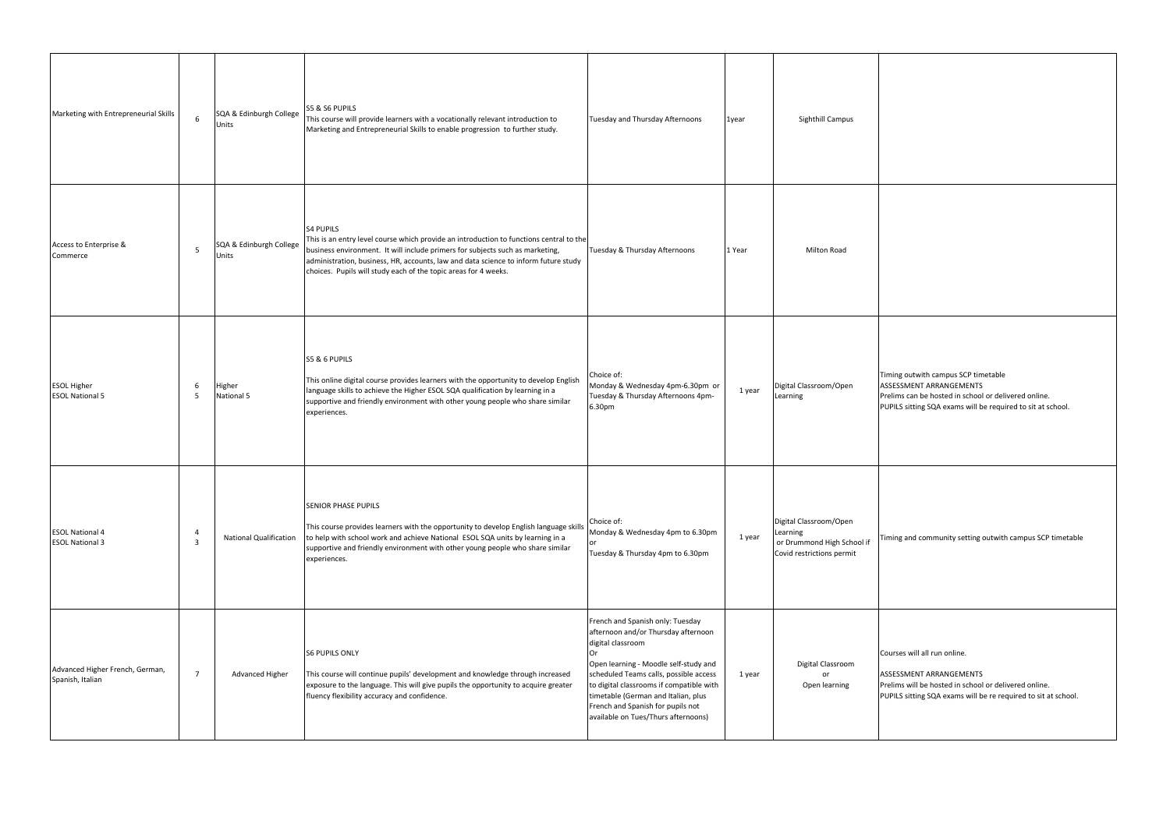Timing outwith campus SCP timetable ASSESSMENT ARRANGEMENTS Prelims can be hosted in school or delivered online. PUPILS sitting SQA exams will be required to sit at school.

| Marketing with Entrepreneurial Skills               | 6              | SQA & Edinburgh College<br>Units | <b>S5 &amp; S6 PUPILS</b><br>This course will provide learners with a vocationally relevant introduction to<br>Marketing and Entrepreneurial Skills to enable progression to further study.                                                                                                                                                            | Tuesday and Thursday Afternoons                                                                                                                                                                                                                                                                                                                      | 1year  | Sighthill Campus                                                                              |
|-----------------------------------------------------|----------------|----------------------------------|--------------------------------------------------------------------------------------------------------------------------------------------------------------------------------------------------------------------------------------------------------------------------------------------------------------------------------------------------------|------------------------------------------------------------------------------------------------------------------------------------------------------------------------------------------------------------------------------------------------------------------------------------------------------------------------------------------------------|--------|-----------------------------------------------------------------------------------------------|
| Access to Enterprise &<br>Commerce                  | 5              | SQA & Edinburgh College<br>Units | <b>S4 PUPILS</b><br>This is an entry level course which provide an introduction to functions central to the<br>business environment. It will include primers for subjects such as marketing,<br>administration, business, HR, accounts, law and data science to inform future study<br>choices. Pupils will study each of the topic areas for 4 weeks. | Tuesday & Thursday Afternoons                                                                                                                                                                                                                                                                                                                        | 1 Year | Milton Road                                                                                   |
| <b>ESOL Higher</b><br><b>ESOL National 5</b>        | 6<br>5         | Higher<br>National 5             | S5 & 6 PUPILS<br>This online digital course provides learners with the opportunity to develop English<br>language skills to achieve the Higher ESOL SQA qualification by learning in a<br>supportive and friendly environment with other young people who share similar<br>experiences.                                                                | Choice of:<br>Monday & Wednesday 4pm-6.30pm or<br>Tuesday & Thursday Afternoons 4pm-<br>6.30pm                                                                                                                                                                                                                                                       | 1 year | Digital Classroom/Open<br>Learning                                                            |
| <b>ESOL National 4</b><br><b>ESOL National 3</b>    | 4<br>3         | <b>National Qualification</b>    | <b>SENIOR PHASE PUPILS</b><br>This course provides learners with the opportunity to develop English language skills<br>to help with school work and achieve National ESOL SQA units by learning in a<br>supportive and friendly environment with other young people who share similar<br>experiences.                                                  | Choice of:<br>Monday & Wednesday 4pm to 6.30pm<br>or<br>Tuesday & Thursday 4pm to 6.30pm                                                                                                                                                                                                                                                             | 1 year | Digital Classroom/Open<br>Learning<br>or Drummond High School if<br>Covid restrictions permit |
| Advanced Higher French, German,<br>Spanish, Italian | $\overline{7}$ | Advanced Higher                  | <b>S6 PUPILS ONLY</b><br>This course will continue pupils' development and knowledge through increased<br>exposure to the language. This will give pupils the opportunity to acquire greater<br>fluency flexibility accuracy and confidence.                                                                                                           | French and Spanish only: Tuesday<br>afternoon and/or Thursday afternoon<br>digital classroom<br>Or<br>Open learning - Moodle self-study and<br>scheduled Teams calls, possible access<br>to digital classrooms if compatible with<br>timetable (German and Italian, plus<br>French and Spanish for pupils not<br>available on Tues/Thurs afternoons) | 1 year | Digital Classroom<br>or<br>Open learning                                                      |

Timing and community setting outwith campus SCP timetable

Courses will all run online.

ASSESSMENT ARRANGEMENTS Prelims will be hosted in school or delivered online. PUPILS sitting SQA exams will be re required to sit at school.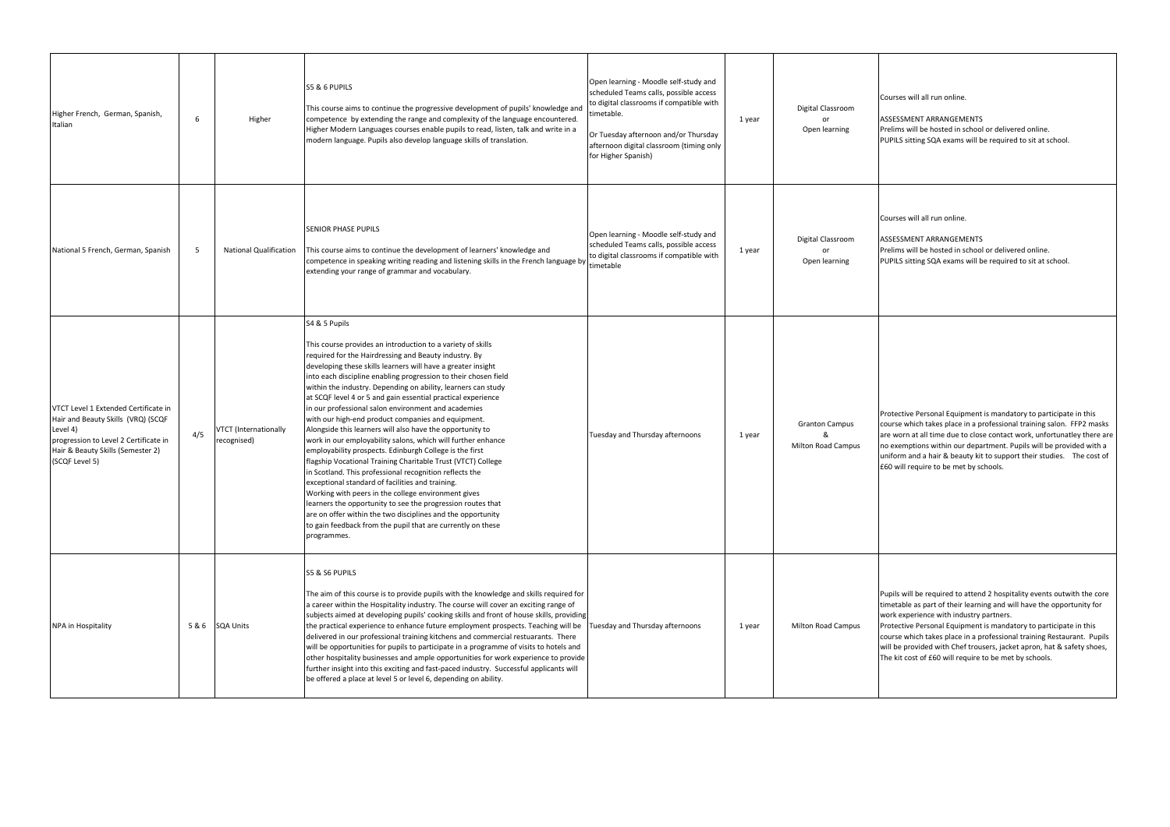Courses will all run online.

ASSESSMENT ARRANGEMENTS Prelims will be hosted in school or delivered online. PUPILS sitting SQA exams will be required to sit at school.

Courses will all run online.

ASSESSMENT ARRANGEMENTS Prelims will be hosted in school or delivered online. PUPILS sitting SQA exams will be required to sit at school.

| Higher French, German, Spanish,<br>Italian                                                                                                                                             | 6   | Higher                                      | S5 & 6 PUPILS<br>This course aims to continue the progressive development of pupils' knowledge and<br>competence by extending the range and complexity of the language encountered.<br>Higher Modern Languages courses enable pupils to read, listen, talk and write in a<br>modern language. Pupils also develop language skills of translation.                                                                                                                                                                                                                                                                                                                                                                                                                                                                                                                                                                                                                                                                                                                                                                                                                | Open learning - Moodle self-study and<br>scheduled Teams calls, possible access<br>to digital classrooms if compatible with<br>timetable.<br>Or Tuesday afternoon and/or Thursday<br>afternoon digital classroom (timing only<br>for Higher Spanish) | 1 year | Digital Classroom<br>or<br>Open learning           |
|----------------------------------------------------------------------------------------------------------------------------------------------------------------------------------------|-----|---------------------------------------------|------------------------------------------------------------------------------------------------------------------------------------------------------------------------------------------------------------------------------------------------------------------------------------------------------------------------------------------------------------------------------------------------------------------------------------------------------------------------------------------------------------------------------------------------------------------------------------------------------------------------------------------------------------------------------------------------------------------------------------------------------------------------------------------------------------------------------------------------------------------------------------------------------------------------------------------------------------------------------------------------------------------------------------------------------------------------------------------------------------------------------------------------------------------|------------------------------------------------------------------------------------------------------------------------------------------------------------------------------------------------------------------------------------------------------|--------|----------------------------------------------------|
| National 5 French, German, Spanish                                                                                                                                                     | 5   | <b>National Qualification</b>               | <b>SENIOR PHASE PUPILS</b><br>This course aims to continue the development of learners' knowledge and<br>competence in speaking writing reading and listening skills in the French language by<br>extending your range of grammar and vocabulary.                                                                                                                                                                                                                                                                                                                                                                                                                                                                                                                                                                                                                                                                                                                                                                                                                                                                                                                | Open learning - Moodle self-study and<br>scheduled Teams calls, possible access<br>to digital classrooms if compatible with<br>timetable                                                                                                             | 1 year | Digital Classroom<br>or<br>Open learning           |
| VTCT Level 1 Extended Certificate in<br>Hair and Beauty Skills (VRQ) (SCQF<br>Level 4)<br>progression to Level 2 Certificate in<br>Hair & Beauty Skills (Semester 2)<br>(SCQF Level 5) | 4/5 | <b>VTCT</b> (Internationally<br>recognised) | S4 & 5 Pupils<br>This course provides an introduction to a variety of skills<br>required for the Hairdressing and Beauty industry. By<br>developing these skills learners will have a greater insight<br>into each discipline enabling progression to their chosen field<br>within the industry. Depending on ability, learners can study<br>at SCQF level 4 or 5 and gain essential practical experience<br>in our professional salon environment and academies<br>with our high-end product companies and equipment.<br>Alongside this learners will also have the opportunity to<br>work in our employability salons, which will further enhance<br>employability prospects. Edinburgh College is the first<br>flagship Vocational Training Charitable Trust (VTCT) College<br>in Scotland. This professional recognition reflects the<br>exceptional standard of facilities and training.<br>Working with peers in the college environment gives<br>learners the opportunity to see the progression routes that<br>are on offer within the two disciplines and the opportunity<br>to gain feedback from the pupil that are currently on these<br>programmes. | Tuesday and Thursday afternoons                                                                                                                                                                                                                      | 1 year | <b>Granton Campus</b><br><b>Milton Road Campus</b> |
| NPA in Hospitality                                                                                                                                                                     | 5&6 | <b>SQA Units</b>                            | S5 & S6 PUPILS<br>The aim of this course is to provide pupils with the knowledge and skills required for<br>a career within the Hospitality industry. The course will cover an exciting range of<br>subjects aimed at developing pupils' cooking skills and front of house skills, providing<br>the practical experience to enhance future employment prospects. Teaching will be<br>delivered in our professional training kitchens and commercial restuarants. There<br>will be opportunities for pupils to participate in a programme of visits to hotels and<br>other hospitality businesses and ample opportunities for work experience to provide<br>further insight into this exciting and fast-paced industry. Successful applicants will<br>be offered a place at level 5 or level 6, depending on ability.                                                                                                                                                                                                                                                                                                                                             | Tuesday and Thursday afternoons                                                                                                                                                                                                                      | 1 year | Milton Road Campus                                 |

Protective Personal Equipment is mandatory to participate in this course which takes place in a professional training salon. FFP2 masks are worn at all time due to close contact work, unfortunatley there are no exemptions within our department. Pupils will be provided with a uniform and a hair & beauty kit to support their studies. The cost of £60 will require to be met by schools.

Pupils will be required to attend 2 hospitality events outwith the core timetable as part of their learning and will have the opportunity for work experience with industry partners.

Protective Personal Equipment is mandatory to participate in this course which takes place in a professional training Restaurant. Pupils will be provided with Chef trousers, jacket apron, hat & safety shoes, The kit cost of £60 will require to be met by schools.